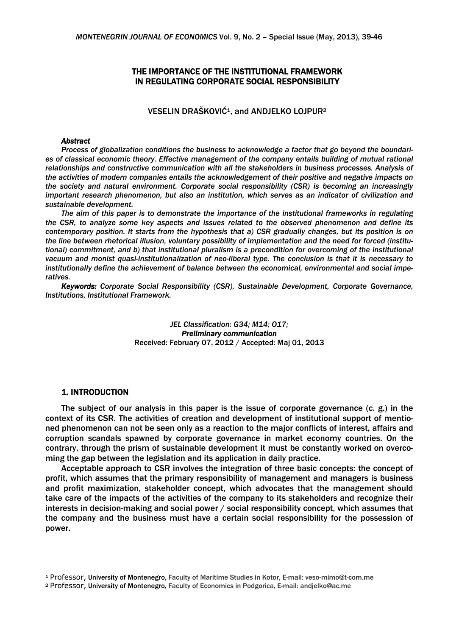## THE IMPORTANCE OF THE INSTITUTIONAL FRAMEWORK IN REGULATING CORPORATE SOCIAL RESPONSIBILITY

VESELIN DRAŠKOVIĆ<sup>1</sup>, and ANDJELKO LOJPUR<sup>2</sup>

## *Abstract*

*Process of globalization conditions the business to acknowledge a factor that go beyond the boundaries of classical economic theory. Effective management of the company entails building of mutual rational relationships and constructive communication with all the stakeholders in business processes. Analysis of the activities of modern companies entails the acknowledgement of their positive and negative impacts on the society and natural environment. Corporate social responsibility (CSR) is becoming an increasingly important research phenomenon, but also an institution, which serves as an indicator of civilization and sustainable development.* 

*The aim of this paper is to demonstrate the importance of the institutional frameworks in regulating the CSR, to analyze some key aspects and issues related to the observed phenomenon and define its contemporary position. It starts from the hypothesis that a) CSR gradually changes, but its position is on the line between rhetorical illusion, voluntary possibility of implementation and the need for forced (institutional)* commitment, and b) that institutional pluralism is a precondition for overcoming of the institutional *vacuum and monist quasi-institutionalization of neo-liberal type. The conclusion is that it is necessary to institutionally define the achievement of balance between the economical, environmental and social imperatives.* 

*Keywords: Corporate Social Responsibility (CSR), Sustainable Development, Corporate Governance, Institutions, Institutional Framework.* 

> *JEL Classification: G34; M14; O17; Preliminary communication*  Received: February 07, 2012 / Accepted: Maj 01, 2013

### 1. INTRODUCTION

The subject of our analysis in this paper is the issue of corporate governance (c. g.) in the context of its CSR. The activities of creation and development of institutional support of mentioned phenomenon can not be seen only as a reaction to the major conflicts of interest, affairs and corruption scandals spawned by corporate governance in market economy countries. On the contrary, through the prism of sustainable development it must be constantly worked on overcoming the gap between the legislation and its application in daily practice.

Acceptable approach to CSR involves the integration of three basic concepts: the concept of profit, which assumes that the primary responsibility of management and managers is business and profit maximization, stakeholder concept, which advocates that the management should take care of the impacts of the activities of the company to its stakeholders and recognize their interests in decision-making and social power / social responsibility concept, which assumes that the company and the business must have a certain social responsibility for the possession of power.

<sup>1</sup> Professor, University of Montenegro, Faculty of Maritime Studies in Kotor, E-mail: veso-mimo@t-com.me

<sup>2</sup> Professor, University of Montenegro, Faculty of Economics in Podgorica, E-mail: andjelko@ac.me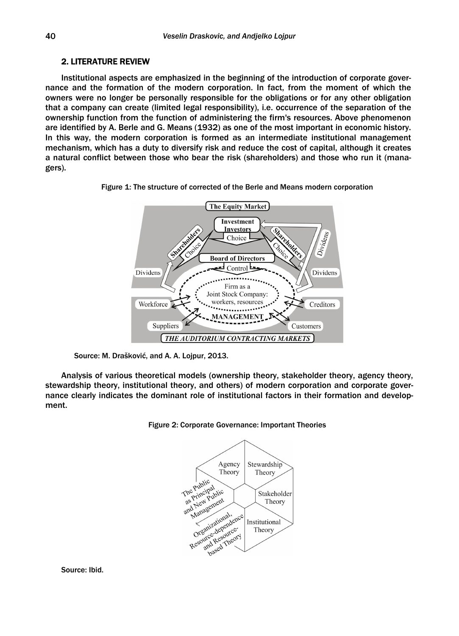# 2. LITERATURE REVIEW

Institutional aspects are emphasized in the beginning of the introduction of corporate governance and the formation of the modern corporation. In fact, from the moment of which the owners were no longer be personally responsible for the obligations or for any other obligation that a company can create (limited legal responsibility), i.e. occurrence of the separation of the ownership function from the function of administering the firm's resources. Above phenomenon are identified by A. Berle and G. Means (1932) as one of the most important in economic history. In this way, the modern corporation is formed as an intermediate institutional management mechanism, which has a duty to diversify risk and reduce the cost of capital, although it creates a natural conflict between those who bear the risk (shareholders) and those who run it (managers).



Figure 1: The structure of corrected of the Berle and Means modern corporation

Source: M. Drašković, and A. A. Lojpur, 2013.

Analysis of various theoretical models (ownership theory, stakeholder theory, agency theory, stewardship theory, institutional theory, and others) of modern corporation and corporate governance clearly indicates the dominant role of institutional factors in their formation and development.





Source: Ibid.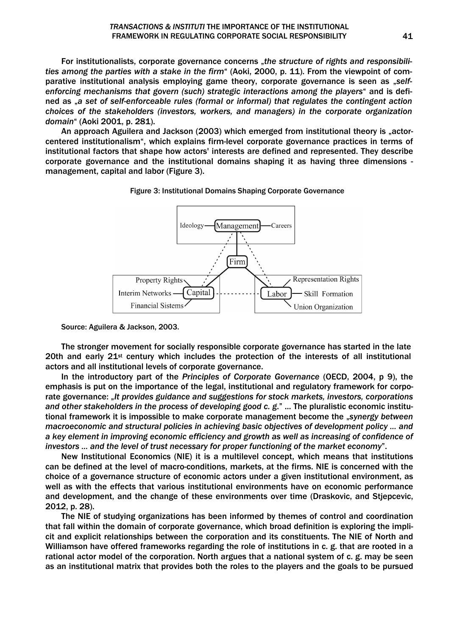For institutionalists, corporate governance concerns "*the structure of rights and responsibilities among the parties with a stake in the firm*" (Aoki, 2000, p. 11). From the viewpoint of comparative institutional analysis employing game theory, corporate governance is seen as "self*enforcing mechanisms that govern (such) strategic interactions among the players*" and is defined as "*a set of self-enforceable rules (formal or informal) that regulates the contingent action choices of the stakeholders (investors, workers, and managers) in the corporate organization domain*" (Aoki 2001, p. 281).

An approach Aguilera and Jackson (2003) which emerged from institutional theory is "actorcentered institutionalism", which explains firm-level corporate governance practices in terms of institutional factors that shape how actors' interests are defined and represented. They describe corporate governance and the institutional domains shaping it as having three dimensions management, capital and labor (Figure 3).





Source: Aguilera & Jackson, 2003.

The stronger movement for socially responsible corporate governance has started in the late 20th and early  $21^{st}$  century which includes the protection of the interests of all institutional actors and all institutional levels of corporate governance.

In the introductory part of the *Principles of Corporate Governance* (OECD, 2004, p 9), the emphasis is put on the importance of the legal, institutional and regulatory framework for corporate governance: "It provides guidance and suggestions for stock markets, investors, corporations *and other stakeholders in the process of developing good c. g*." ... The pluralistic economic institutional framework it is impossible to make corporate management become the "*synergy between macroeconomic and structural policies in achieving basic objectives of development policy ... and a key element in improving economic efficiency and growth as well as increasing of confidence of investors ... and the level of trust necessary for proper functioning of the market economy*".

New Institutional Economics (NIE) it is a multilevel concept, which means that institutions can be defined at the level of macro-conditions, markets, at the firms. NIE is concerned with the choice of a governance structure of economic actors under a given institutional environment, as well as with the effects that various institutional environments have on economic performance and development, and the change of these environments over time (Draskovic, and Stjepcevic, 2012, p. 28).

The NIE of studying organizations has been informed by themes of control and coordination that fall within the domain of corporate governance, which broad definition is exploring the implicit and explicit relationships between the corporation and its constituents. The NIE of North and Williamson have offered frameworks regarding the role of institutions in c. g. that are rooted in a rational actor model of the corporation. North argues that a national system of c. g. may be seen as an institutional matrix that provides both the roles to the players and the goals to be pursued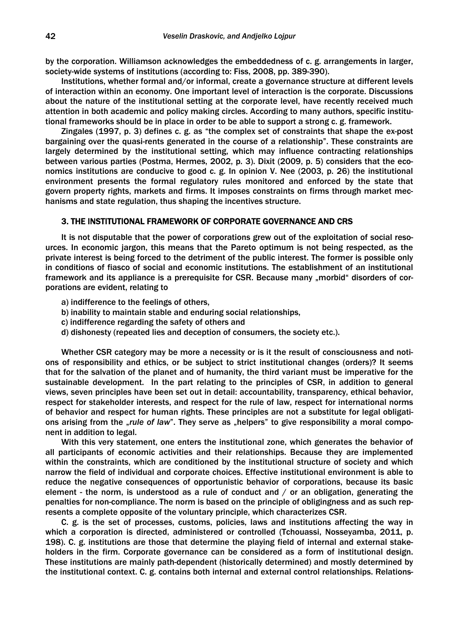by the corporation. Williamson acknowledges the embeddedness of c. g. arrangements in larger, society-wide systems of institutions (according to: Fiss, 2008, pp. 389-390).

Institutions, whether formal and/or informal, create a governance structure at different levels of interaction within an economy. One important level of interaction is the corporate. Discussions about the nature of the institutional setting at the corporate level, have recently received much attention in both academic and policy making circles. According to many authors, specific institutional frameworks should be in place in order to be able to support a strong c. g. framework.

Zingales (1997, p. 3) defines c. g. as "the complex set of constraints that shape the ex-post bargaining over the quasi-rents generated in the course of a relationship". These constraints are largely determined by the institutional setting, which may influence contracting relationships between various parties (Postma, Hermes, 2002, p. 3). Dixit (2009, p. 5) considers that the economics institutions are conducive to good c. g. In opinion V. Nee (2003, p. 26) the institutional environment presents the formal regulatory rules monitored and enforced by the state that govern property rights, markets and firms. It imposes constraints on firms through market mechanisms and state regulation, thus shaping the incentives structure.

## 3. THE INSTITUTIONAL FRAMEWORK OF CORPORATE GOVERNANCE AND CRS

It is not disputable that the power of corporations grew out of the exploitation of social resources. In economic jargon, this means that the Pareto optimum is not being respected, as the private interest is being forced to the detriment of the public interest. The former is possible only in conditions of fiasco of social and economic institutions. The establishment of an institutional framework and its appliance is a prerequisite for CSR. Because many "morbid" disorders of corporations are evident, relating to

- a) indifference to the feelings of others,
- b) inability to maintain stable and enduring social relationships,
- c) indifference regarding the safety of others and
- d) dishonesty (repeated lies and deception of consumers, the society etc.).

Whether CSR category may be more a necessity or is it the result of consciousness and notions of responsibility and ethics, or be subject to strict institutional changes (orders)? It seems that for the salvation of the planet and of humanity, the third variant must be imperative for the sustainable development. In the part relating to the principles of CSR, in addition to general views, seven principles have been set out in detail: accountability, transparency, ethical behavior, respect for stakeholder interests, and respect for the rule of law, respect for international norms of behavior and respect for human rights. These principles are not a substitute for legal obligations arising from the *"rule of law*". They serve as "helpers" to give responsibility a moral component in addition to legal.

With this very statement, one enters the institutional zone, which generates the behavior of all participants of economic activities and their relationships. Because they are implemented within the constraints, which are conditioned by the institutional structure of society and which narrow the field of individual and corporate choices. Effective institutional environment is able to reduce the negative consequences of opportunistic behavior of corporations, because its basic element - the norm, is understood as a rule of conduct and  $/$  or an obligation, generating the penalties for non-compliance. The norm is based on the principle of obligingness and as such represents a complete opposite of the voluntary principle, which characterizes CSR.

C. g. is the set of processes, customs, policies, laws and institutions affecting the way in which a corporation is directed, administered or controlled (Tchouassi, Nosseyamba, 2011, p. 198). C. g. institutions are those that determine the playing field of internal and external stakeholders in the firm. Corporate governance can be considered as a form of institutional design. These institutions are mainly path-dependent (historically determined) and mostly determined by the institutional context. C. g. contains both internal and external control relationships. Relations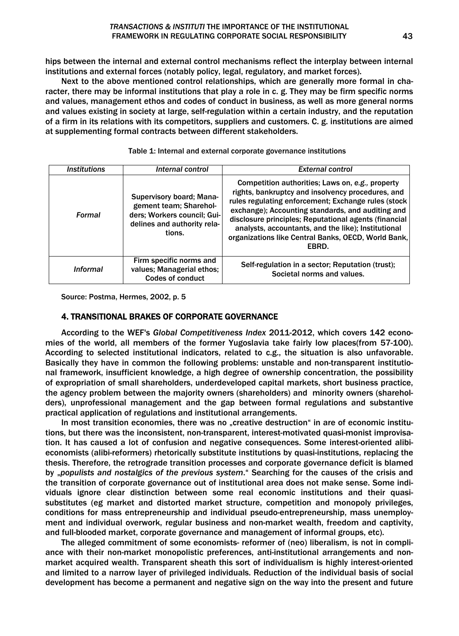hips between the internal and external control mechanisms reflect the interplay between internal institutions and external forces (notably policy, legal, regulatory, and market forces).

Next to the above mentioned control relationships, which are generally more formal in character, there may be informal institutions that play a role in c. g. They may be firm specific norms and values, management ethos and codes of conduct in business, as well as more general norms and values existing in society at large, self-regulation within a certain industry, and the reputation of a firm in its relations with its competitors, suppliers and customers. C. g. institutions are aimed at supplementing formal contracts between different stakeholders.

| <i><b>Institutions</b></i> | Internal control                                                                                                           | <b>External control</b>                                                                                                                                                                                                                                                                                                                                                                           |
|----------------------------|----------------------------------------------------------------------------------------------------------------------------|---------------------------------------------------------------------------------------------------------------------------------------------------------------------------------------------------------------------------------------------------------------------------------------------------------------------------------------------------------------------------------------------------|
| Formal                     | Supervisory board; Mana-<br>gement team; Sharehol-<br>ders; Workers council; Gui-<br>delines and authority rela-<br>tions. | Competition authorities; Laws on, e.g., property<br>rights, bankruptcy and insolvency procedures, and<br>rules regulating enforcement; Exchange rules (stock<br>exchange); Accounting standards, and auditing and<br>disclosure principles; Reputational agents (financial<br>analysts, accountants, and the like); Institutional<br>organizations like Central Banks, OECD, World Bank,<br>EBRD. |
| <b>Informal</b>            | Firm specific norms and<br>values; Managerial ethos;<br>Codes of conduct                                                   | Self-regulation in a sector; Reputation (trust);<br>Societal norms and values.                                                                                                                                                                                                                                                                                                                    |

Table 1: Internal and external corporate governance institutions

Source: Postma, Hermes, 2002, p. 5

# 4. TRANSITIONAL BRAKES OF CORPORATE GOVERNANCE

According to the WEF's *Global Competitiveness Index* 2011-2012, which covers 142 economies of the world, all members of the former Yugoslavia take fairly low places(from 57-100). According to selected institutional indicators, related to c.g., the situation is also unfavorable. Basically they have in common the following problems: unstable and non-transparent institutional framework, insufficient knowledge, a high degree of ownership concentration, the possibility of expropriation of small shareholders, underdeveloped capital markets, short business practice, the agency problem between the majority owners (shareholders) and minority owners (shareholders), unprofessional management and the gap between formal regulations and substantive practical application of regulations and institutional arrangements.

In most transition economies, there was no "creative destruction" in are of economic institutions, but there was the inconsistent, non-transparent, interest-motivated quasi-monist improvisation. It has caused a lot of confusion and negative consequences. Some interest-oriented alibieconomists (alibi-reformers) rhetorically substitute institutions by quasi-institutions, replacing the thesis. Therefore, the retrograde transition processes and corporate governance deficit is blamed by "*populists and nostalgics of the previous system*." Searching for the causes of the crisis and the transition of corporate governance out of institutional area does not make sense. Some individuals ignore clear distinction between some real economic institutions and their quasisubstitutes (eg market and distorted market structure, competition and monopoly privileges, conditions for mass entrepreneurship and individual pseudo-entrepreneurship, mass unemployment and individual overwork, regular business and non-market wealth, freedom and captivity, and full-blooded market, corporate governance and management of informal groups, etc).

The alleged commitment of some economists- reformer of (neo) liberalism, is not in compliance with their non-market monopolistic preferences, anti-institutional arrangements and nonmarket acquired wealth. Transparent sheath this sort of individualism is highly interest-oriented and limited to a narrow layer of privileged individuals. Reduction of the individual basis of social development has become a permanent and negative sign on the way into the present and future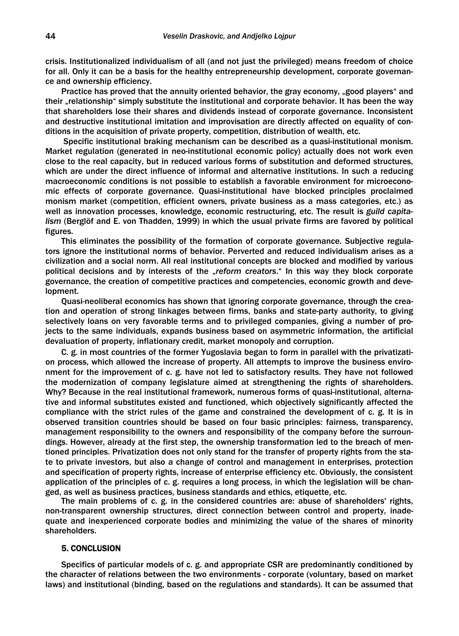crisis. Institutionalized individualism of all (and not just the privileged) means freedom of choice for all. Only it can be a basis for the healthy entrepreneurship development, corporate governance and ownership efficiency.

Practice has proved that the annuity oriented behavior, the gray economy, "good players" and their "relationship" simply substitute the institutional and corporate behavior. It has been the way that shareholders lose their shares and dividends instead of corporate governance. Inconsistent and destructive institutional imitation and improvisation are directly affected on equality of conditions in the acquisition of private property, competition, distribution of wealth, etc.

 Specific institutional braking mechanism can be described as a quasi-institutional monism. Market regulation (generated in neo-institutional economic policy) actually does not work even close to the real capacity, but in reduced various forms of substitution and deformed structures, which are under the direct influence of informal and alternative institutions. In such a reducing macroeconomic conditions is not possible to establish a favorable environment for microeconomic effects of corporate governance. Quasi-institutional have blocked principles proclaimed monism market (competition, efficient owners, private business as a mass categories, etc.) as well as innovation processes, knowledge, economic restructuring, etc. The result is *guild capitalism* (Berglöf and E. von Thadden, 1999) in which the usual private firms are favored by political figures.

This eliminates the possibility of the formation of corporate governance. Subjective regulators ignore the institutional norms of behavior. Perverted and reduced individualism arises as a civilization and a social norm. All real institutional concepts are blocked and modified by various political decisions and by interests of the "*reform creators*." In this way they block corporate governance, the creation of competitive practices and competencies, economic growth and development.

Quasi-neoliberal economics has shown that ignoring corporate governance, through the creation and operation of strong linkages between firms, banks and state-party authority, to giving selectively loans on very favorable terms and to privileged companies, giving a number of projects to the same individuals, expands business based on asymmetric information, the artificial devaluation of property, inflationary credit, market monopoly and corruption.

C. g. in most countries of the former Yugoslavia began to form in parallel with the privatization process, which allowed the increase of property. All attempts to improve the business environment for the improvement of c. g. have not led to satisfactory results. They have not followed the modernization of company legislature aimed at strengthening the rights of shareholders. Why? Because in the real institutional framework, numerous forms of quasi-institutional, alternative and informal substitutes existed and functioned, which objectively significantly affected the compliance with the strict rules of the game and constrained the development of c. g. It is in observed transition countries should be based on four basic principles: fairness, transparency, management responsibility to the owners and responsibility of the company before the surroundings. However, already at the first step, the ownership transformation led to the breach of mentioned principles. Privatization does not only stand for the transfer of property rights from the state to private investors, but also a change of control and management in enterprises, protection and specification of property rights, increase of enterprise efficiency etc. Obviously, the consistent application of the principles of c. g. requires a long process, in which the legislation will be changed, as well as business practices, business standards and ethics, etiquette, etc.

The main problems of c. g. in the considered countries are: abuse of shareholders' rights, non-transparent ownership structures, direct connection between control and property, inadequate and inexperienced corporate bodies and minimizing the value of the shares of minority shareholders.

### 5. CONCLUSION

Specifics of particular models of c. g. and appropriate CSR are predominantly conditioned by the character of relations between the two environments - corporate (voluntary, based on market laws) and institutional (binding, based on the regulations and standards). It can be assumed that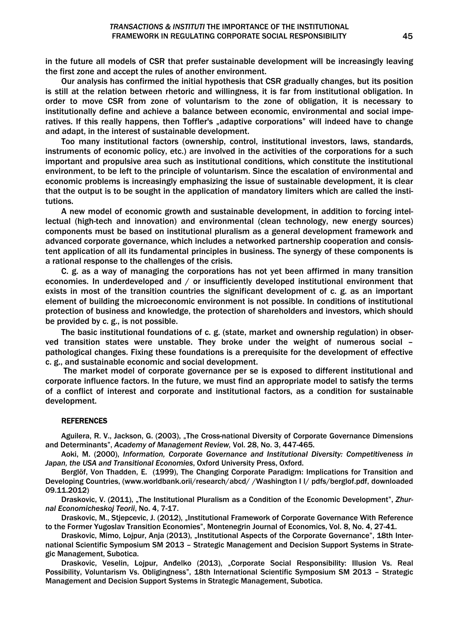in the future all models of CSR that prefer sustainable development will be increasingly leaving the first zone and accept the rules of another environment.

Our analysis has confirmed the initial hypothesis that CSR gradually changes, but its position is still at the relation between rhetoric and willingness, it is far from institutional obligation. In order to move CSR from zone of voluntarism to the zone of obligation, it is necessary to institutionally define and achieve a balance between economic, environmental and social imperatives. If this really happens, then Toffler's "adaptive corporations" will indeed have to change and adapt, in the interest of sustainable development.

Too many institutional factors (ownership, control, institutional investors, laws, standards, instruments of economic policy, etc.) are involved in the activities of the corporations for a such important and propulsive area such as institutional conditions, which constitute the institutional environment, to be left to the principle of voluntarism. Since the escalation of environmental and economic problems is increasingly emphasizing the issue of sustainable development, it is clear that the output is to be sought in the application of mandatory limiters which are called the institutions.

A new model of economic growth and sustainable development, in addition to forcing intellectual (high-tech and innovation) and environmental (clean technology, new energy sources) components must be based on institutional pluralism as a general development framework and advanced corporate governance, which includes a networked partnership cooperation and consistent application of all its fundamental principles in business. The synergy of these components is a rational response to the challenges of the crisis.

C. g. as a way of managing the corporations has not yet been affirmed in many transition economies. In underdeveloped and / or insufficiently developed institutional environment that exists in most of the transition countries the significant development of c. g. as an important element of building the microeconomic environment is not possible. In conditions of institutional protection of business and knowledge, the protection of shareholders and investors, which should be provided by c. g., is not possible.

The basic institutional foundations of c. g. (state, market and ownership regulation) in observed transition states were unstable. They broke under the weight of numerous social – pathological changes. Fixing these foundations is a prerequisite for the development of effective c. g., and sustainable economic and social development.

 The market model of corporate governance per se is exposed to different institutional and corporate influence factors. In the future, we must find an appropriate model to satisfy the terms of a conflict of interest and corporate and institutional factors, as a condition for sustainable development.

### **REFERENCES**

Aguilera, R. V., Jackson, G. (2003), "The Cross-national Diversity of Corporate Governance Dimensions and Determinants", *Academy of Management Review,* Vol. 28, No. 3, 447-465.

Aoki, M. (2000), *Information, Corporate Governance and Institutional Diversity: Competitiveness in Japan, the USA and Transitional Economies*, Oxford University Press, Oxford.

Berglöf, Von Thadden, E. (1999), The Changing Corporate Paradigm: Implications for Transition and Developing Countries, (www.worldbank.orii/research/abcd/ /Washington I l/ pdfs/berglof.pdf, downloaded 09.11.2012)

Draskovic, V. (2011), "The Institutional Pluralism as a Condition of the Economic Development", *Zhurnal Economicheskoj Teorii*, No. 4, 7-17.

Draskovic, M., Stiepcevic, J. (2012), "Institutional Framework of Corporate Governance With Reference to the Former Yugoslav Transition Economies", Montenegrin Journal of Economics, Vol. 8, No. 4, 27-41.

Draskovic, Mimo, Lojpur, Anja (2013), "Institutional Aspects of the Corporate Governance", 18th International Scientific Symposium SM 2013 – Strategic Management and Decision Support Systems in Strategic Management, Subotica.

Draskovic, Veselin, Lojpur, Anđelko (2013), "Corporate Social Responsibility: Illusion Vs. Real Possibility, Voluntarism Vs. Obligingness", 18th International Scientific Symposium SM 2013 – Strategic Management and Decision Support Systems in Strategic Management, Subotica.